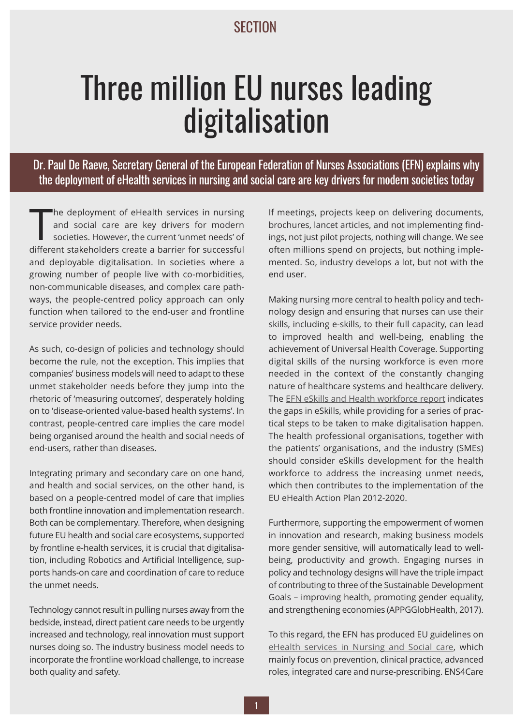## **SECTION**

## Three million EU nurses leading digitalisation

Dr. Paul De Raeve, Secretary General of the European Federation of Nurses Associations (EFN) explains why the deployment of eHealth services in nursing and social care are key drivers for modern societies today

The deployment of eHealth services in nursing<br>and social care are key drivers for modern<br>societies. However, the current 'unmet needs' of<br>different stakeholders create a barrier for successful he deployment of eHealth services in nursing and social care are key drivers for modern societies. However, the current 'unmet needs' of and deployable digitalisation. In societies where a growing number of people live with co-morbidities, non-communicable diseases, and complex care pathways, the people-centred policy approach can only function when tailored to the end-user and frontline service provider needs.

As such, co-design of policies and technology should become the rule, not the exception. This implies that companies' business models will need to adapt to these unmet stakeholder needs before they jump into the rhetoric of 'measuring outcomes', desperately holding on to 'disease-oriented value-based health systems'. In contrast, people-centred care implies the care model being organised around the health and social needs of end-users, rather than diseases.

Integrating primary and secondary care on one hand, and health and social services, on the other hand, is based on a people-centred model of care that implies both frontline innovation and implementation research. Both can be complementary. Therefore, when designing future EU health and social care ecosystems, supported by frontline e-health services, it is crucial that digitalisation, including Robotics and Artificial Intelligence, supports hands-on care and coordination of care to reduce the unmet needs.

Technology cannot result in pulling nurses away from the bedside, instead, direct patient care needs to be urgently increased and technology, real innovation must support nurses doing so. The industry business model needs to incorporate the frontline workload challenge, to increase both quality and safety.

If meetings, projects keep on delivering documents, brochures, lancet articles, and not implementing findings, not just pilot projects, nothing will change. We see often millions spend on projects, but nothing implemented. So, industry develops a lot, but not with the end user.

Making nursing more central to health policy and technology design and ensuring that nurses can use their skills, including e-skills, to their full capacity, can lead to improved health and well-being, enabling the achievement of Universal Health Coverage. Supporting digital skills of the nursing workforce is even more needed in the context of the constantly changing nature of healthcare systems and healthcare delivery. The EFN eSkills and Health [workforce](http://ec.europa.eu/information_society/newsroom/cf/dae/document.cfm?action=display&doc_id=8061) report indicates the gaps in eSkills, while providing for a series of practical steps to be taken to make digitalisation happen. The health professional organisations, together with the patients' organisations, and the industry (SMEs) should consider eSkills development for the health workforce to address the increasing unmet needs, which then contributes to the implementation of the EU eHealth Action Plan 2012-2020.

Furthermore, supporting the empowerment of women in innovation and research, making business models more gender sensitive, will automatically lead to wellbeing, productivity and growth. Engaging nurses in policy and technology designs will have the triple impact of contributing to three of the Sustainable Development Goals – improving health, promoting gender equality, and strengthening economies (APPGGlobHealth, 2017).

To this regard, the EFN has produced EU guidelines on eHealth [services](http://www.ens4care.eu/guidelines/) in Nursing and Social care, which mainly focus on prevention, clinical practice, advanced roles, integrated care and nurse-prescribing. ENS4Care